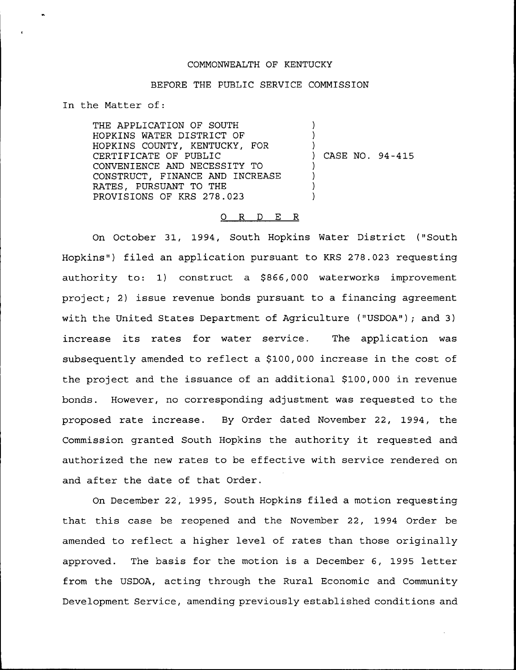## COMMONWEALTH OF KENTUCKY

## BEFORE THE PUBLIC SERVICE COMMISSION

In the Matter of:

THE APPLICATION OF SOUTH HOPKINS WATER DISTRICT OF HOPKINS COUNTY, KENTUCKY, FOR CERTIFICATE OF PUBLIC CONVENIENCE AND NECESSITY TO CONSTRUCT, FINANCE AND INCREASE RATES, PURSUANT TO THE PROVISIONS OF KRS 278.023 ) ) ) ) CASE NO. 94 —415 ) ) ) )

#### O R D E R

On October 31, 1994, South Hopkins Water District ("South Hopkins") filed an application pursuant to KRS 278.023 requesting authority to: 1) construct a \$866,000 waterworks improvement project; 2) issue revenue bonds pursuant to a financing agreement with the United States Department of Agriculture ("USDOA"); and 3) increase its rates for water service. The application was subsequently amended to reflect a \$100,000 increase in the cost of the project and the issuance of an additional \$100,000 in revenue bonds. However, no corresponding adjustment was requested to the proposed rate increase. By Order dated November 22, 1994, the Commission granted South Hopkins the authority it requested and authorized the new rates to be effective with service rendered on and after the date of that Order.

On December 22, 1995, South Hopkins filed a motion requesting that this case be reopened and the November 22, 1994 Order be amended to reflect a higher level of rates than those originally approved. The basis for the motion is a December 6, 1995 letter from the USDOA, acting through the Rural Economic and Community Development Service, amending previously established conditions and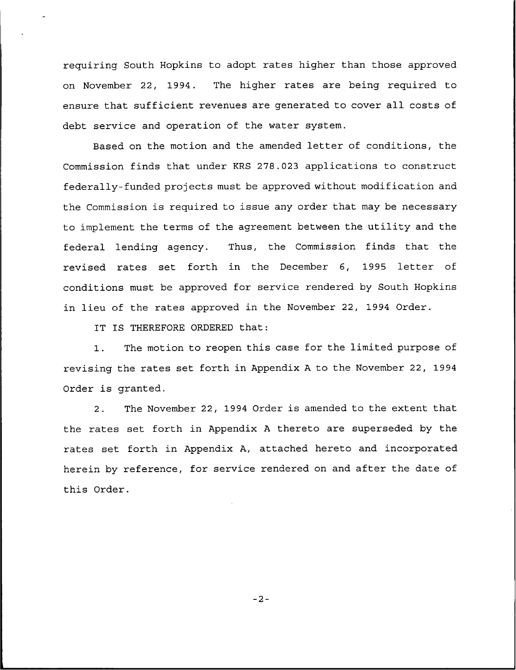requiring South Hopkins to adopt rates higher than those approved on November 22, 1994. The higher rates are being required to ensure that sufficient revenues are generated to cover all costs of debt service and operation of the water system.

Based on the motion and the amended letter of conditions, the Commission finds that under KRS 278.023 applications to construct federally-funded projects must be approved without modification and the Commission is required to issue any order that may be necessary to implement the terms of the agreement between the utility and the federal lending agency. Thus, the Commission finds that the revised rates set forth in the December 6, 1995 letter of conditions must be approved for service rendered by South Hopkins in lieu of the rates approved in the November 22, 1994 Order.

IT IS THEREFORE ORDERED that:

1. The motion to reopen this case for the limited purpose of revising the rates set forth in Appendix <sup>A</sup> to the November 22, 1994 Order is granted.

2. The November 22, 1994 Order is amended to the extent that the rates set forth in Appendix <sup>A</sup> thereto are superseded by the rates set forth in Appendix A, attached hereto and incorporated herein by reference, for service rendered on and after the date of this Order.

 $-2-$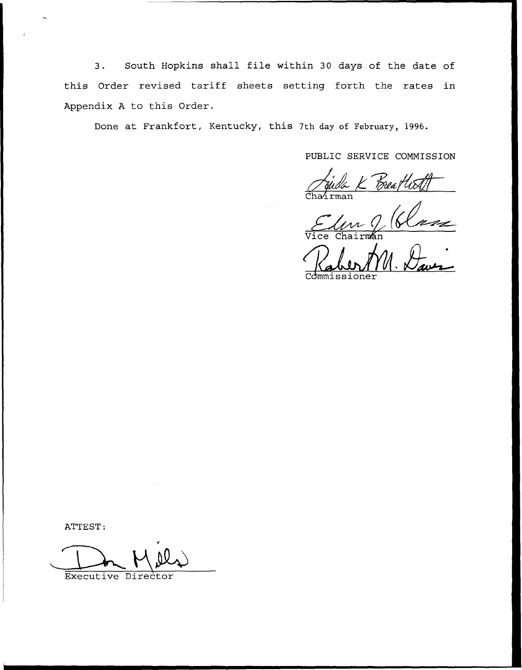South Hopkins shall file within <sup>30</sup> days of the date of  $3.$ this Order revised tariff sheets setting forth the rates in Appendix <sup>A</sup> to this Order.

Done at Frankfort, Kentucky, this 7th day of February, 1996.

PUBLIC SERVICE COMMISSION

Brea flitz Cha<mark>ir</mark>ma

 $\frac{Q(K)}{N_{\max}}$ 

Commissioner

ATTEST:

Executive Director